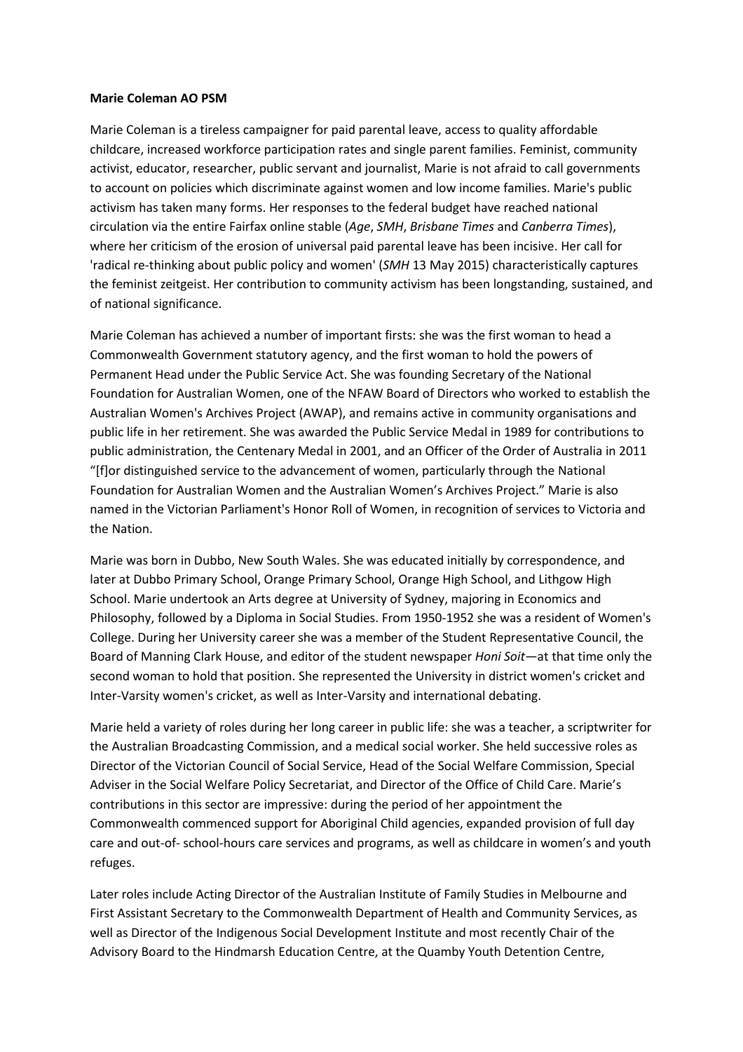## **Marie Coleman AO PSM**

Marie Coleman is a tireless campaigner for paid parental leave, access to quality affordable childcare, increased workforce participation rates and single parent families. Feminist, community activist, educator, researcher, public servant and journalist, Marie is not afraid to call governments to account on policies which discriminate against women and low income families. Marie's public activism has taken many forms. Her responses to the federal budget have reached national circulation via the entire Fairfax online stable (*Age*, *SMH*, *Brisbane Times* and *Canberra Times*), where her criticism of the erosion of universal paid parental leave has been incisive. Her call for 'radical re-thinking about public policy and women' (*SMH* 13 May 2015) characteristically captures the feminist zeitgeist. Her contribution to community activism has been longstanding, sustained, and of national significance.

Marie Coleman has achieved a number of important firsts: she was the first woman to head a Commonwealth Government statutory agency, and the first woman to hold the powers of Permanent Head under the Public Service Act. She was founding Secretary of the National Foundation for Australian Women, one of the NFAW Board of Directors who worked to establish the Australian Women's Archives Project (AWAP), and remains active in community organisations and public life in her retirement. She was awarded the Public Service Medal in 1989 for contributions to public administration, the Centenary Medal in 2001, and an Officer of the Order of Australia in 2011 "[f]or distinguished service to the advancement of women, particularly through the National Foundation for Australian Women and the Australian Women's Archives Project." Marie is also named in the Victorian Parliament's Honor Roll of Women, in recognition of services to Victoria and the Nation.

Marie was born in Dubbo, New South Wales. She was educated initially by correspondence, and later at Dubbo Primary School, Orange Primary School, Orange High School, and Lithgow High School. Marie undertook an Arts degree at University of Sydney, majoring in Economics and Philosophy, followed by a Diploma in Social Studies. From 1950-1952 she was a resident of Women's College. During her University career she was a member of the Student Representative Council, the Board of Manning Clark House, and editor of the student newspaper *Honi Soit*—at that time only the second woman to hold that position. She represented the University in district women's cricket and Inter-Varsity women's cricket, as well as Inter-Varsity and international debating.

Marie held a variety of roles during her long career in public life: she was a teacher, a scriptwriter for the Australian Broadcasting Commission, and a medical social worker. She held successive roles as Director of the Victorian Council of Social Service, Head of the Social Welfare Commission, Special Adviser in the Social Welfare Policy Secretariat, and Director of the Office of Child Care. Marie's contributions in this sector are impressive: during the period of her appointment the Commonwealth commenced support for Aboriginal Child agencies, expanded provision of full day care and out-of- school-hours care services and programs, as well as childcare in women's and youth refuges.

Later roles include Acting Director of the Australian Institute of Family Studies in Melbourne and First Assistant Secretary to the Commonwealth Department of Health and Community Services, as well as Director of the Indigenous Social Development Institute and most recently Chair of the Advisory Board to the Hindmarsh Education Centre, at the Quamby Youth Detention Centre,